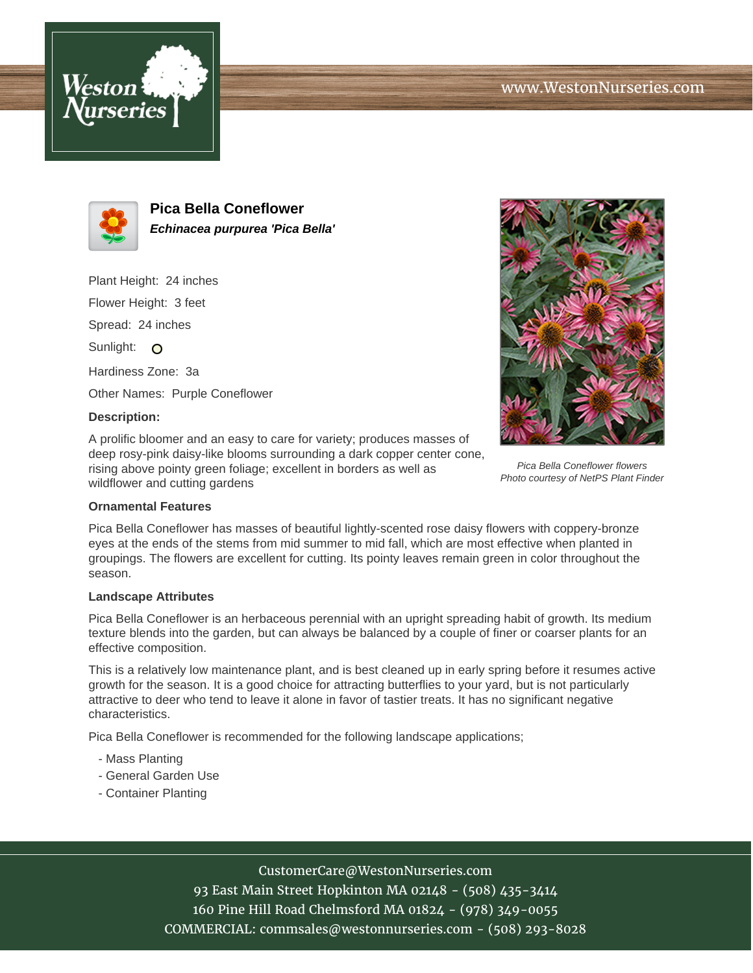



**Pica Bella Coneflower Echinacea purpurea 'Pica Bella'**

Plant Height: 24 inches Flower Height: 3 feet Spread: 24 inches Sunlight: O

Hardiness Zone: 3a

Other Names: Purple Coneflower

## **Description:**

A prolific bloomer and an easy to care for variety; produces masses of deep rosy-pink daisy-like blooms surrounding a dark copper center cone, rising above pointy green foliage; excellent in borders as well as wildflower and cutting gardens



Pica Bella Coneflower flowers Photo courtesy of NetPS Plant Finder

## **Ornamental Features**

Pica Bella Coneflower has masses of beautiful lightly-scented rose daisy flowers with coppery-bronze eyes at the ends of the stems from mid summer to mid fall, which are most effective when planted in groupings. The flowers are excellent for cutting. Its pointy leaves remain green in color throughout the season.

#### **Landscape Attributes**

Pica Bella Coneflower is an herbaceous perennial with an upright spreading habit of growth. Its medium texture blends into the garden, but can always be balanced by a couple of finer or coarser plants for an effective composition.

This is a relatively low maintenance plant, and is best cleaned up in early spring before it resumes active growth for the season. It is a good choice for attracting butterflies to your yard, but is not particularly attractive to deer who tend to leave it alone in favor of tastier treats. It has no significant negative characteristics.

Pica Bella Coneflower is recommended for the following landscape applications;

- Mass Planting
- General Garden Use
- Container Planting

# CustomerCare@WestonNurseries.com

93 East Main Street Hopkinton MA 02148 - (508) 435-3414 160 Pine Hill Road Chelmsford MA 01824 - (978) 349-0055 COMMERCIAL: commsales@westonnurseries.com - (508) 293-8028